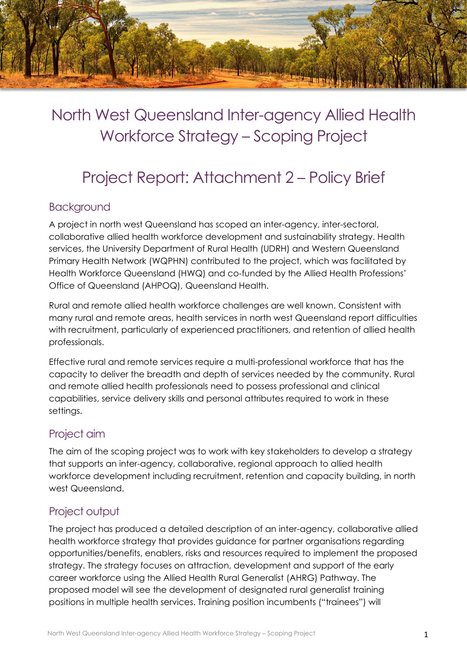

# North West Queensland Inter-agency Allied Health Workforce Strategy – Scoping Project

# Project Report: Attachment 2 – Policy Brief

### Background

A project in north west Queensland has scoped an inter-agency, inter-sectoral, collaborative allied health workforce development and sustainability strategy. Health services, the University Department of Rural Health (UDRH) and Western Queensland Primary Health Network (WQPHN) contributed to the project, which was facilitated by Health Workforce Queensland (HWQ) and co-funded by the Allied Health Professions' Office of Queensland (AHPOQ), Queensland Health.

Rural and remote allied health workforce challenges are well known. Consistent with many rural and remote areas, health services in north west Queensland report difficulties with recruitment, particularly of experienced practitioners, and retention of allied health professionals.

Effective rural and remote services require a multi-professional workforce that has the capacity to deliver the breadth and depth of services needed by the community. Rural and remote allied health professionals need to possess professional and clinical capabilities, service delivery skills and personal attributes required to work in these settings.

# Project aim

The aim of the scoping project was to work with key stakeholders to develop a strategy that supports an inter-agency, collaborative, regional approach to allied health workforce development including recruitment, retention and capacity building, in north west Queensland.

# Project output

The project has produced a detailed description of an inter-agency, collaborative allied health workforce strategy that provides guidance for partner organisations regarding opportunities/benefits, enablers, risks and resources required to implement the proposed strategy. The strategy focuses on attraction, development and support of the early career workforce using the Allied Health Rural Generalist (AHRG) Pathway. The proposed model will see the development of designated rural generalist training positions in multiple health services. Training position incumbents ("trainees") will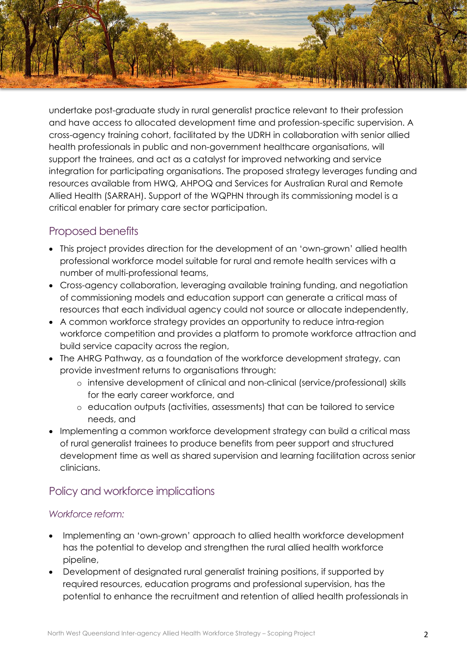

undertake post-graduate study in rural generalist practice relevant to their profession and have access to allocated development time and profession-specific supervision. A cross-agency training cohort, facilitated by the UDRH in collaboration with senior allied health professionals in public and non-government healthcare organisations, will support the trainees, and act as a catalyst for improved networking and service integration for participating organisations. The proposed strategy leverages funding and resources available from HWQ, AHPOQ and Services for Australian Rural and Remote Allied Health (SARRAH). Support of the WQPHN through its commissioning model is a critical enabler for primary care sector participation.

# Proposed benefits

- This project provides direction for the development of an 'own-grown' allied health professional workforce model suitable for rural and remote health services with a number of multi-professional teams,
- Cross-agency collaboration, leveraging available training funding, and negotiation of commissioning models and education support can generate a critical mass of resources that each individual agency could not source or allocate independently,
- A common workforce strategy provides an opportunity to reduce intra-region workforce competition and provides a platform to promote workforce attraction and build service capacity across the region,
- The AHRG Pathway, as a foundation of the workforce development strategy, can provide investment returns to organisations through:
	- o intensive development of clinical and non-clinical (service/professional) skills for the early career workforce, and
	- o education outputs (activities, assessments) that can be tailored to service needs, and
- Implementing a common workforce development strategy can build a critical mass of rural generalist trainees to produce benefits from peer support and structured development time as well as shared supervision and learning facilitation across senior clinicians.

# Policy and workforce implications

### *Workforce reform:*

- Implementing an 'own-grown' approach to allied health workforce development has the potential to develop and strengthen the rural allied health workforce pipeline,
- Development of designated rural generalist training positions, if supported by required resources, education programs and professional supervision, has the potential to enhance the recruitment and retention of allied health professionals in